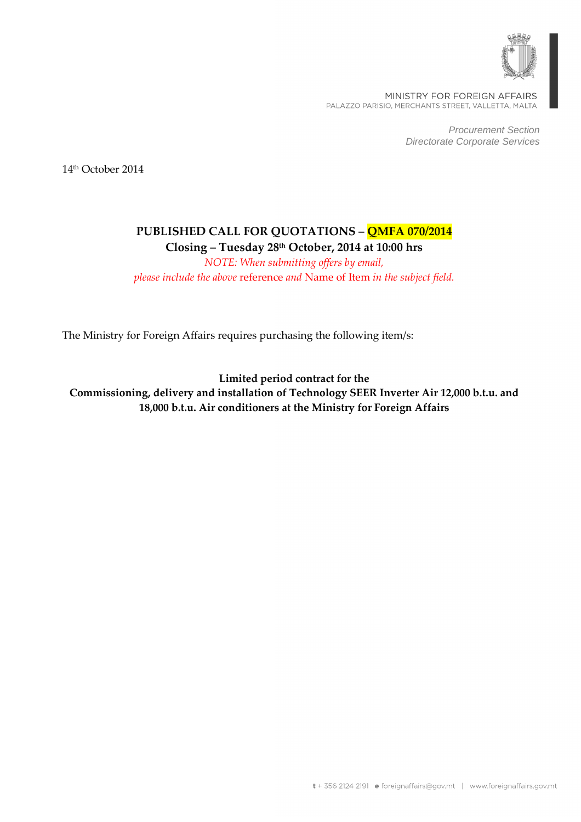

MINISTRY FOR FOREIGN AFFAIRS PALAZZO PARISIO, MERCHANTS STREET, VALLETTA, MALTA

> Procurement Section Directorate Corporate Services

14th October 2014

# **PUBLISHED CALL FOR QUOTATIONS – QMFA 070/2014 Closing – Tuesday 28th October, 2014 at 10:00 hrs**

*NOTE: When submitting offers by email, please include the above* reference *and* Name of Item *in the subject field.* 

The Ministry for Foreign Affairs requires purchasing the following item/s:

**Limited period contract for the Commissioning, delivery and installation of Technology SEER Inverter Air 12,000 b.t.u. and 18,000 b.t.u. Air conditioners at the Ministry for Foreign Affairs**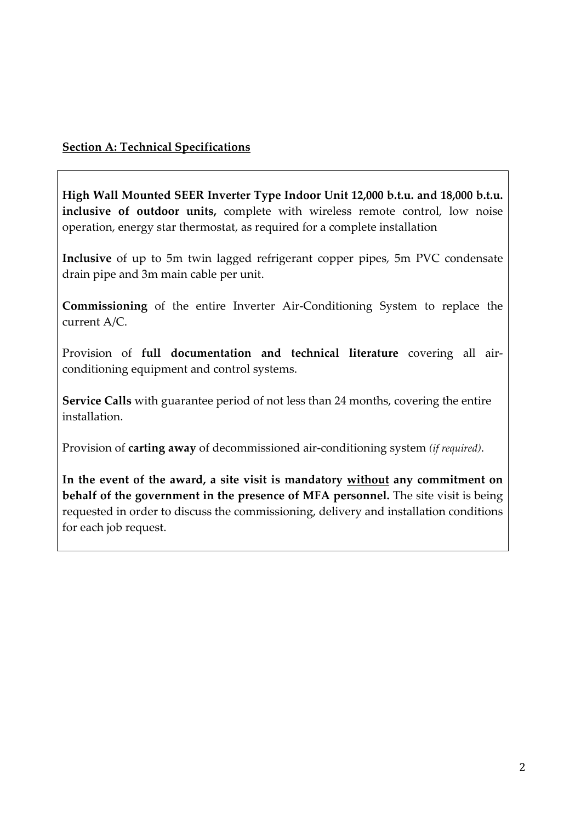## **Section A: Technical Specifications**

**High Wall Mounted SEER Inverter Type Indoor Unit 12,000 b.t.u. and 18,000 b.t.u. inclusive of outdoor units,** complete with wireless remote control, low noise operation, energy star thermostat, as required for a complete installation

**Inclusive** of up to 5m twin lagged refrigerant copper pipes, 5m PVC condensate drain pipe and 3m main cable per unit.

**Commissioning** of the entire Inverter Air-Conditioning System to replace the current A/C.

Provision of **full documentation and technical literature** covering all airconditioning equipment and control systems.

**Service Calls** with guarantee period of not less than 24 months, covering the entire installation.

Provision of **carting away** of decommissioned air-conditioning system *(if required)*.

**In the event of the award, a site visit is mandatory without any commitment on behalf of the government in the presence of MFA personnel.** The site visit is being requested in order to discuss the commissioning, delivery and installation conditions for each job request.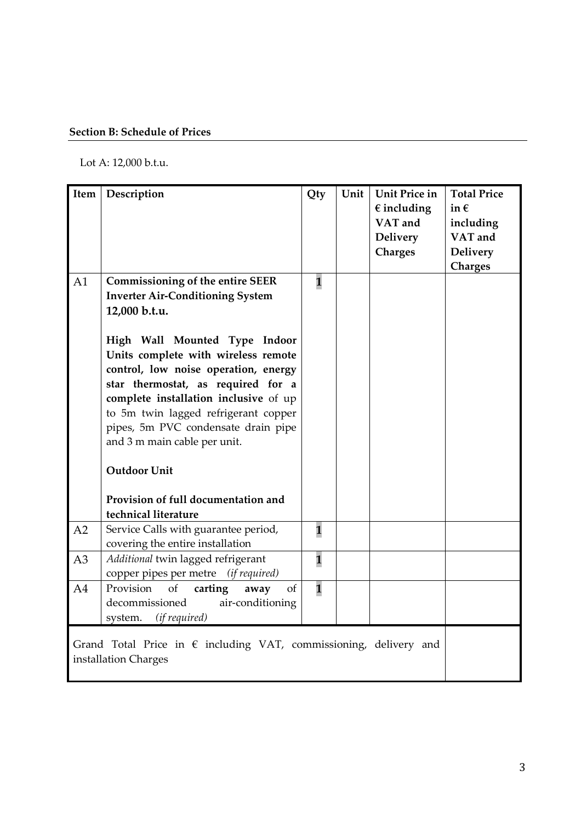### **Section B: Schedule of Prices**

Lot A: 12,000 b.t.u.

| Item                                                                                               | Description                                                                                                                                                                                                                                                                                                | Qty                     | Unit | <b>Unit Price in</b><br>$\epsilon$ including<br>VAT and<br><b>Delivery</b><br><b>Charges</b> | <b>Total Price</b><br>in $\epsilon$<br>including<br>VAT and<br><b>Delivery</b><br><b>Charges</b> |
|----------------------------------------------------------------------------------------------------|------------------------------------------------------------------------------------------------------------------------------------------------------------------------------------------------------------------------------------------------------------------------------------------------------------|-------------------------|------|----------------------------------------------------------------------------------------------|--------------------------------------------------------------------------------------------------|
| A1                                                                                                 | <b>Commissioning of the entire SEER</b><br><b>Inverter Air-Conditioning System</b><br>12,000 b.t.u.                                                                                                                                                                                                        | $\overline{\mathbf{1}}$ |      |                                                                                              |                                                                                                  |
|                                                                                                    | High Wall Mounted Type Indoor<br>Units complete with wireless remote<br>control, low noise operation, energy<br>star thermostat, as required for a<br>complete installation inclusive of up<br>to 5m twin lagged refrigerant copper<br>pipes, 5m PVC condensate drain pipe<br>and 3 m main cable per unit. |                         |      |                                                                                              |                                                                                                  |
|                                                                                                    | <b>Outdoor Unit</b><br>Provision of full documentation and<br>technical literature                                                                                                                                                                                                                         |                         |      |                                                                                              |                                                                                                  |
| A2                                                                                                 | Service Calls with guarantee period,<br>covering the entire installation                                                                                                                                                                                                                                   | $\overline{\mathbf{1}}$ |      |                                                                                              |                                                                                                  |
| A <sub>3</sub>                                                                                     | Additional twin lagged refrigerant<br>copper pipes per metre (if required)                                                                                                                                                                                                                                 | $\overline{\mathbf{1}}$ |      |                                                                                              |                                                                                                  |
| A4                                                                                                 | Provision<br>of<br>carting<br>of<br>away<br>decommissioned<br>air-conditioning<br>(if required)<br>system.                                                                                                                                                                                                 | $\overline{\mathbf{1}}$ |      |                                                                                              |                                                                                                  |
| Grand Total Price in $\epsilon$ including VAT, commissioning, delivery and<br>installation Charges |                                                                                                                                                                                                                                                                                                            |                         |      |                                                                                              |                                                                                                  |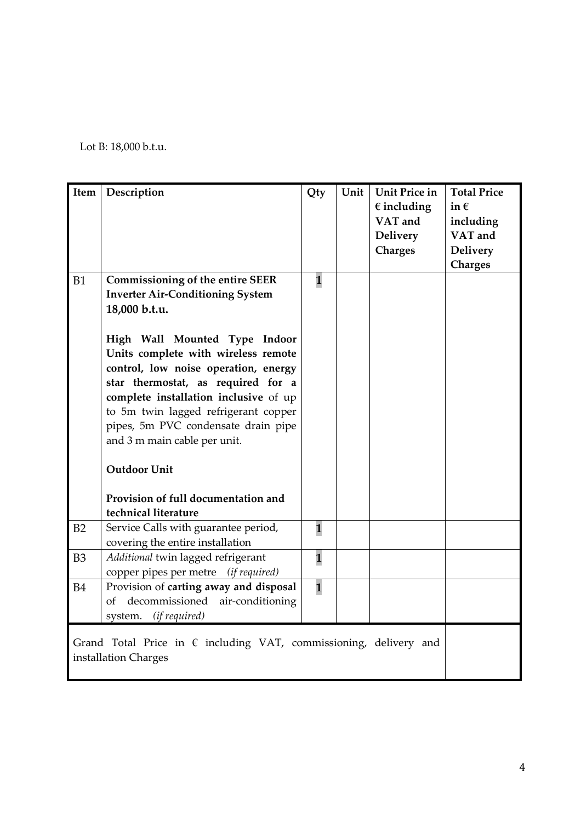Lot B: 18,000 b.t.u.

| Item                                                                       | Description                             | Qty                     | Unit | Unit Price in        | <b>Total Price</b> |  |
|----------------------------------------------------------------------------|-----------------------------------------|-------------------------|------|----------------------|--------------------|--|
|                                                                            |                                         |                         |      | $\epsilon$ including | in $\epsilon$      |  |
|                                                                            |                                         |                         |      | VAT and              | including          |  |
|                                                                            |                                         |                         |      | <b>Delivery</b>      | VAT and            |  |
|                                                                            |                                         |                         |      | <b>Charges</b>       | <b>Delivery</b>    |  |
|                                                                            |                                         |                         |      |                      | <b>Charges</b>     |  |
| <b>B1</b>                                                                  | <b>Commissioning of the entire SEER</b> | $\mathbf{1}$            |      |                      |                    |  |
|                                                                            | <b>Inverter Air-Conditioning System</b> |                         |      |                      |                    |  |
|                                                                            | 18,000 b.t.u.                           |                         |      |                      |                    |  |
|                                                                            |                                         |                         |      |                      |                    |  |
|                                                                            | High Wall Mounted Type Indoor           |                         |      |                      |                    |  |
|                                                                            |                                         |                         |      |                      |                    |  |
|                                                                            | Units complete with wireless remote     |                         |      |                      |                    |  |
|                                                                            | control, low noise operation, energy    |                         |      |                      |                    |  |
|                                                                            | star thermostat, as required for a      |                         |      |                      |                    |  |
|                                                                            | complete installation inclusive of up   |                         |      |                      |                    |  |
|                                                                            | to 5m twin lagged refrigerant copper    |                         |      |                      |                    |  |
|                                                                            | pipes, 5m PVC condensate drain pipe     |                         |      |                      |                    |  |
|                                                                            | and 3 m main cable per unit.            |                         |      |                      |                    |  |
|                                                                            |                                         |                         |      |                      |                    |  |
|                                                                            | <b>Outdoor Unit</b>                     |                         |      |                      |                    |  |
|                                                                            |                                         |                         |      |                      |                    |  |
|                                                                            | Provision of full documentation and     |                         |      |                      |                    |  |
|                                                                            | technical literature                    |                         |      |                      |                    |  |
| B2                                                                         | Service Calls with guarantee period,    | $\mathbf{1}$            |      |                      |                    |  |
|                                                                            | covering the entire installation        |                         |      |                      |                    |  |
| B <sub>3</sub>                                                             | Additional twin lagged refrigerant      | $\overline{\mathbf{1}}$ |      |                      |                    |  |
|                                                                            | copper pipes per metre (if required)    |                         |      |                      |                    |  |
| <b>B4</b>                                                                  | Provision of carting away and disposal  | $\overline{\mathbf{1}}$ |      |                      |                    |  |
|                                                                            | decommissioned air-conditioning<br>of   |                         |      |                      |                    |  |
|                                                                            | (if required)<br>system.                |                         |      |                      |                    |  |
|                                                                            |                                         |                         |      |                      |                    |  |
| Grand Total Price in $\epsilon$ including VAT, commissioning, delivery and |                                         |                         |      |                      |                    |  |
| installation Charges                                                       |                                         |                         |      |                      |                    |  |
|                                                                            |                                         |                         |      |                      |                    |  |
|                                                                            |                                         |                         |      |                      |                    |  |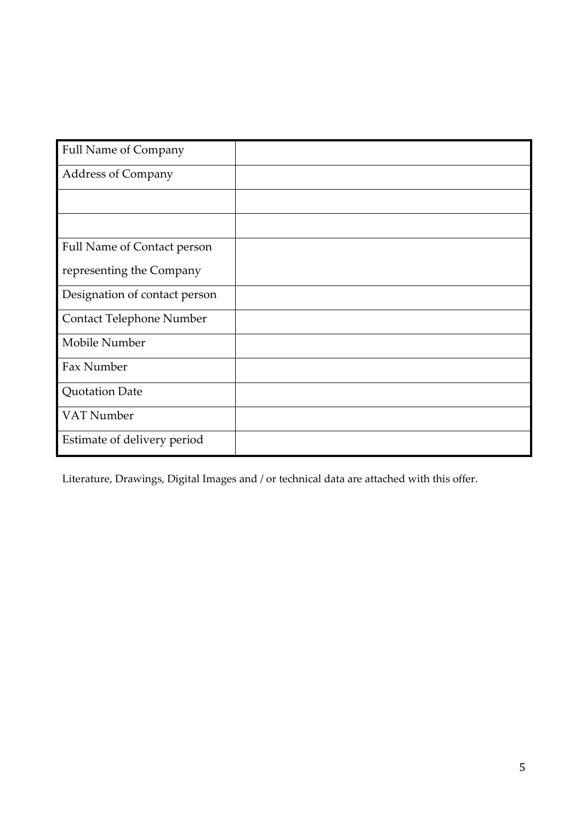| <b>Full Name of Company</b>        |  |
|------------------------------------|--|
| <b>Address of Company</b>          |  |
|                                    |  |
|                                    |  |
| <b>Full Name of Contact person</b> |  |
| representing the Company           |  |
| Designation of contact person      |  |
| Contact Telephone Number           |  |
| Mobile Number                      |  |
| Fax Number                         |  |
| <b>Quotation Date</b>              |  |
| VAT Number                         |  |
| Estimate of delivery period        |  |

Literature, Drawings, Digital Images and / or technical data are attached with this offer.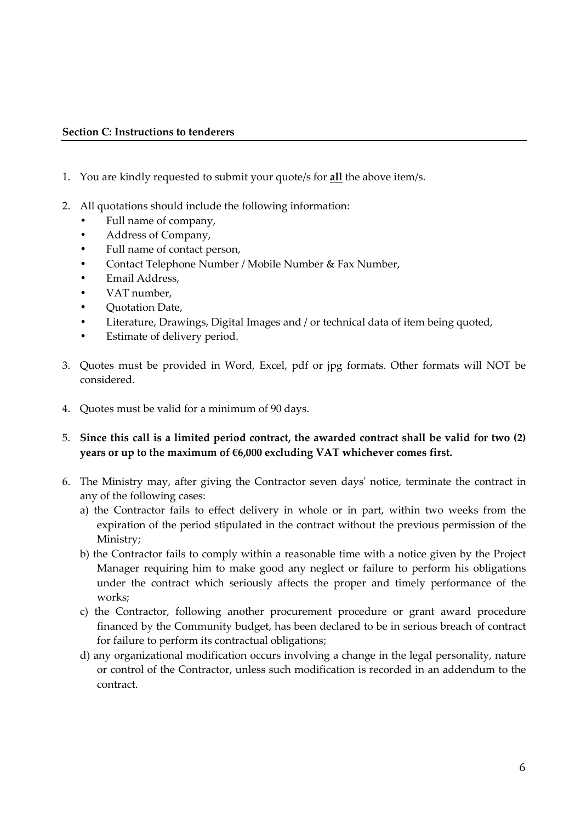#### **Section C: Instructions to tenderers**

- 1. You are kindly requested to submit your quote/s for **all** the above item/s.
- 2. All quotations should include the following information:
	- Full name of company,
	- Address of Company,
	- Full name of contact person,
	- Contact Telephone Number / Mobile Number & Fax Number,
	- Email Address,
	- VAT number,
	- Quotation Date,
	- Literature, Drawings, Digital Images and / or technical data of item being quoted,
	- Estimate of delivery period.
- 3. Quotes must be provided in Word, Excel, pdf or jpg formats. Other formats will NOT be considered.
- 4. Quotes must be valid for a minimum of 90 days.
- 5. **Since this call is a limited period contract, the awarded contract shall be valid for two (2) years or up to the maximum of €6,000 excluding VAT whichever comes first.**
- 6. The Ministry may, after giving the Contractor seven days' notice, terminate the contract in any of the following cases:
	- a) the Contractor fails to effect delivery in whole or in part, within two weeks from the expiration of the period stipulated in the contract without the previous permission of the Ministry;
	- b) the Contractor fails to comply within a reasonable time with a notice given by the Project Manager requiring him to make good any neglect or failure to perform his obligations under the contract which seriously affects the proper and timely performance of the works;
	- c) the Contractor, following another procurement procedure or grant award procedure financed by the Community budget, has been declared to be in serious breach of contract for failure to perform its contractual obligations;
	- d) any organizational modification occurs involving a change in the legal personality, nature or control of the Contractor, unless such modification is recorded in an addendum to the contract.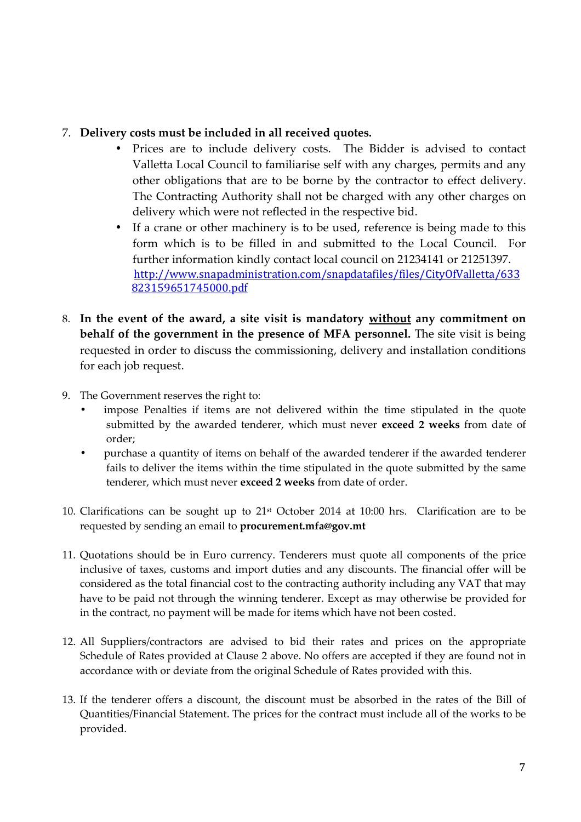### 7. **Delivery costs must be included in all received quotes.**

- Prices are to include delivery costs. The Bidder is advised to contact Valletta Local Council to familiarise self with any charges, permits and any other obligations that are to be borne by the contractor to effect delivery. The Contracting Authority shall not be charged with any other charges on delivery which were not reflected in the respective bid.
- If a crane or other machinery is to be used, reference is being made to this form which is to be filled in and submitted to the Local Council. For further information kindly contact local council on 21234141 or 21251397. http://www.snapadministration.com/snapdatafiles/files/CityOfValletta/633 823159651745000.pdf
- 8. **In the event of the award, a site visit is mandatory without any commitment on behalf of the government in the presence of MFA personnel.** The site visit is being requested in order to discuss the commissioning, delivery and installation conditions for each job request.
- 9. The Government reserves the right to:
	- impose Penalties if items are not delivered within the time stipulated in the quote submitted by the awarded tenderer, which must never **exceed 2 weeks** from date of order;
	- purchase a quantity of items on behalf of the awarded tenderer if the awarded tenderer fails to deliver the items within the time stipulated in the quote submitted by the same tenderer, which must never **exceed 2 weeks** from date of order.
- 10. Clarifications can be sought up to  $21<sup>st</sup>$  October 2014 at 10:00 hrs. Clarification are to be requested by sending an email to **procurement.mfa@gov.mt**
- 11. Quotations should be in Euro currency. Tenderers must quote all components of the price inclusive of taxes, customs and import duties and any discounts. The financial offer will be considered as the total financial cost to the contracting authority including any VAT that may have to be paid not through the winning tenderer. Except as may otherwise be provided for in the contract, no payment will be made for items which have not been costed.
- 12. All Suppliers/contractors are advised to bid their rates and prices on the appropriate Schedule of Rates provided at Clause 2 above. No offers are accepted if they are found not in accordance with or deviate from the original Schedule of Rates provided with this.
- 13. If the tenderer offers a discount, the discount must be absorbed in the rates of the Bill of Quantities/Financial Statement. The prices for the contract must include all of the works to be provided.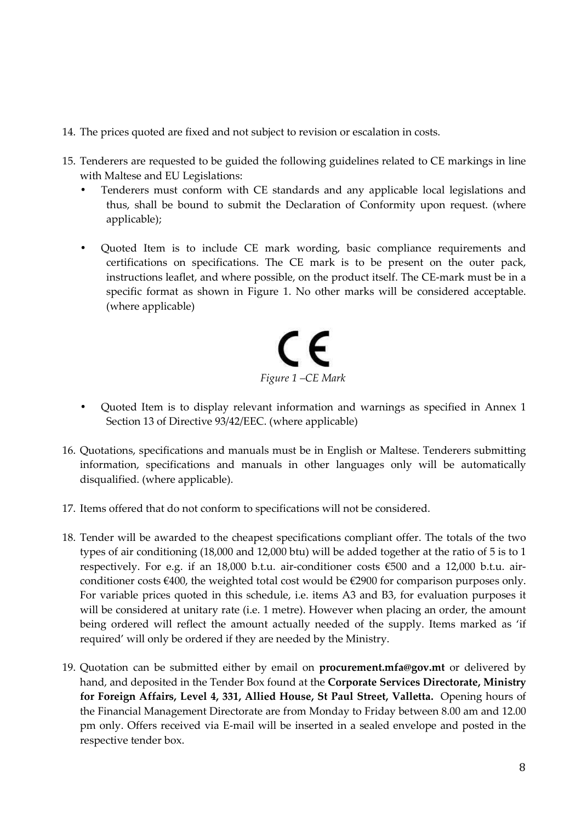- 14. The prices quoted are fixed and not subject to revision or escalation in costs.
- 15. Tenderers are requested to be guided the following guidelines related to CE markings in line with Maltese and EU Legislations:
	- Tenderers must conform with CE standards and any applicable local legislations and thus, shall be bound to submit the Declaration of Conformity upon request. (where applicable);
	- Quoted Item is to include CE mark wording, basic compliance requirements and certifications on specifications. The CE mark is to be present on the outer pack, instructions leaflet, and where possible, on the product itself. The CE-mark must be in a specific format as shown in Figure 1. No other marks will be considered acceptable. (where applicable)



- Quoted Item is to display relevant information and warnings as specified in Annex 1 Section 13 of Directive 93/42/EEC. (where applicable)
- 16. Quotations, specifications and manuals must be in English or Maltese. Tenderers submitting information, specifications and manuals in other languages only will be automatically disqualified. (where applicable).
- 17. Items offered that do not conform to specifications will not be considered.
- 18. Tender will be awarded to the cheapest specifications compliant offer. The totals of the two types of air conditioning (18,000 and 12,000 btu) will be added together at the ratio of 5 is to 1 respectively. For e.g. if an 18,000 b.t.u. air-conditioner costs  $\epsilon$ 500 and a 12,000 b.t.u. airconditioner costs €400, the weighted total cost would be €2900 for comparison purposes only. For variable prices quoted in this schedule, i.e. items A3 and B3, for evaluation purposes it will be considered at unitary rate (i.e. 1 metre). However when placing an order, the amount being ordered will reflect the amount actually needed of the supply. Items marked as 'if required' will only be ordered if they are needed by the Ministry.
- 19. Quotation can be submitted either by email on **procurement.mfa@gov.mt** or delivered by hand, and deposited in the Tender Box found at the **Corporate Services Directorate, Ministry for Foreign Affairs, Level 4, 331, Allied House, St Paul Street, Valletta.** Opening hours of the Financial Management Directorate are from Monday to Friday between 8.00 am and 12.00 pm only. Offers received via E-mail will be inserted in a sealed envelope and posted in the respective tender box.